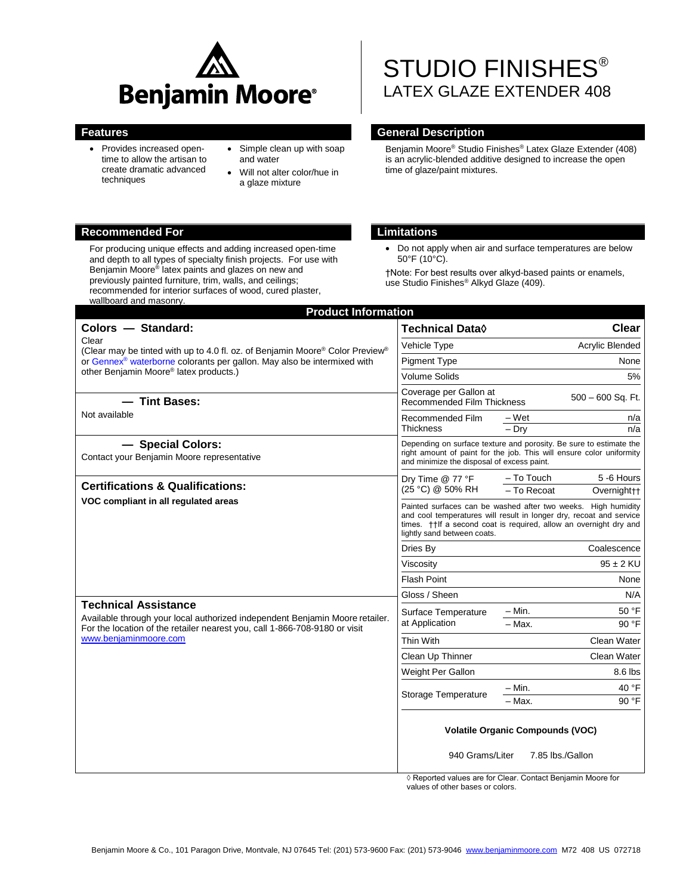

- Provides increased opentime to allow the artisan to create dramatic advanced techniques
- Simple clean up with soap and water
- Will not alter color/hue in a glaze mixture

#### **Recommended For Limitations**

For producing unique effects and adding increased open-time and depth to all types of specialty finish projects. For use with Benjamin Moore® latex paints and glazes on new and previously painted furniture, trim, walls, and ceilings; recommended for interior surfaces of wood, cured plaster, wallboard and masonry.

# STUDIO FINISHES<sup>®</sup> LATEX GLAZE EXTENDER 408

#### **Features General Description**

Benjamin Moore® Studio Finishes® Latex Glaze Extender (408) is an acrylic-blended additive designed to increase the open time of glaze/paint mixtures.

 Do not apply when air and surface temperatures are below 50°F (10°C).

†Note: For best results over alkyd-based paints or enamels, use Studio Finishes® Alkyd Glaze (409).

| <b>Product Information</b>                                                                                                                                                                                                                                                                                                                                                                                                                                                                                                                                                                                                                                        |                                                                                                                                                                                                                                          |  |
|-------------------------------------------------------------------------------------------------------------------------------------------------------------------------------------------------------------------------------------------------------------------------------------------------------------------------------------------------------------------------------------------------------------------------------------------------------------------------------------------------------------------------------------------------------------------------------------------------------------------------------------------------------------------|------------------------------------------------------------------------------------------------------------------------------------------------------------------------------------------------------------------------------------------|--|
| Colors - Standard:                                                                                                                                                                                                                                                                                                                                                                                                                                                                                                                                                                                                                                                | Clear<br>Technical Data◊                                                                                                                                                                                                                 |  |
|                                                                                                                                                                                                                                                                                                                                                                                                                                                                                                                                                                                                                                                                   | <b>Acrylic Blended</b><br>Vehicle Type                                                                                                                                                                                                   |  |
| Clear<br>(Clear may be tinted with up to 4.0 fl. oz. of Benjamin Moore <sup>®</sup> Color Preview <sup>®</sup><br>or Gennex <sup>®</sup> waterborne colorants per gallon. May also be intermixed with<br>other Benjamin Moore® latex products.)<br>- Tint Bases:<br>Not available<br>- Special Colors:<br>Contact your Benjamin Moore representative<br><b>Certifications &amp; Qualifications:</b><br>VOC compliant in all regulated areas<br><b>Technical Assistance</b><br>Available through your local authorized independent Benjamin Moore retailer.<br>For the location of the retailer nearest you, call 1-866-708-9180 or visit<br>www.beniaminmoore.com | <b>Pigment Type</b><br>None                                                                                                                                                                                                              |  |
|                                                                                                                                                                                                                                                                                                                                                                                                                                                                                                                                                                                                                                                                   | <b>Volume Solids</b><br>5%                                                                                                                                                                                                               |  |
|                                                                                                                                                                                                                                                                                                                                                                                                                                                                                                                                                                                                                                                                   | Coverage per Gallon at<br>$500 - 600$ Sq. Ft.<br>Recommended Film Thickness                                                                                                                                                              |  |
|                                                                                                                                                                                                                                                                                                                                                                                                                                                                                                                                                                                                                                                                   | Recommended Film<br>– Wet<br>n/a<br>$-$ Drv<br>Thickness<br>n/a                                                                                                                                                                          |  |
|                                                                                                                                                                                                                                                                                                                                                                                                                                                                                                                                                                                                                                                                   | Depending on surface texture and porosity. Be sure to estimate the<br>right amount of paint for the job. This will ensure color uniformity<br>and minimize the disposal of excess paint.                                                 |  |
|                                                                                                                                                                                                                                                                                                                                                                                                                                                                                                                                                                                                                                                                   | - To Touch<br>5 -6 Hours<br>Dry Time @ 77 °F<br>(25 °C) @ 50% RH<br>- To Recoat<br>Overnight <sub>++</sub>                                                                                                                               |  |
|                                                                                                                                                                                                                                                                                                                                                                                                                                                                                                                                                                                                                                                                   | Painted surfaces can be washed after two weeks. High humidity<br>and cool temperatures will result in longer dry, recoat and service<br>times. † if a second coat is required, allow an overnight dry and<br>lightly sand between coats. |  |
|                                                                                                                                                                                                                                                                                                                                                                                                                                                                                                                                                                                                                                                                   | Coalescence<br>Dries By                                                                                                                                                                                                                  |  |
|                                                                                                                                                                                                                                                                                                                                                                                                                                                                                                                                                                                                                                                                   | $95 \pm 2$ KU<br>Viscosity                                                                                                                                                                                                               |  |
|                                                                                                                                                                                                                                                                                                                                                                                                                                                                                                                                                                                                                                                                   | <b>Flash Point</b><br>None                                                                                                                                                                                                               |  |
|                                                                                                                                                                                                                                                                                                                                                                                                                                                                                                                                                                                                                                                                   | Gloss / Sheen<br>N/A                                                                                                                                                                                                                     |  |
|                                                                                                                                                                                                                                                                                                                                                                                                                                                                                                                                                                                                                                                                   | – Min.<br>50 °F<br>Surface Temperature                                                                                                                                                                                                   |  |
|                                                                                                                                                                                                                                                                                                                                                                                                                                                                                                                                                                                                                                                                   | at Application<br>90 °F<br>$-$ Max.                                                                                                                                                                                                      |  |
|                                                                                                                                                                                                                                                                                                                                                                                                                                                                                                                                                                                                                                                                   | Thin With<br>Clean Water                                                                                                                                                                                                                 |  |
|                                                                                                                                                                                                                                                                                                                                                                                                                                                                                                                                                                                                                                                                   | Clean Up Thinner<br>Clean Water                                                                                                                                                                                                          |  |
|                                                                                                                                                                                                                                                                                                                                                                                                                                                                                                                                                                                                                                                                   | Weight Per Gallon<br>8.6 lbs                                                                                                                                                                                                             |  |
|                                                                                                                                                                                                                                                                                                                                                                                                                                                                                                                                                                                                                                                                   | 40 °F<br>- Min.<br>Storage Temperature                                                                                                                                                                                                   |  |
|                                                                                                                                                                                                                                                                                                                                                                                                                                                                                                                                                                                                                                                                   | 90 °F<br>– Max.                                                                                                                                                                                                                          |  |
|                                                                                                                                                                                                                                                                                                                                                                                                                                                                                                                                                                                                                                                                   | <b>Volatile Organic Compounds (VOC)</b>                                                                                                                                                                                                  |  |
|                                                                                                                                                                                                                                                                                                                                                                                                                                                                                                                                                                                                                                                                   | 940 Grams/Liter<br>7.85 lbs./Gallon                                                                                                                                                                                                      |  |

◊ Reported values are for Clear. Contact Benjamin Moore for values of other bases or colors.